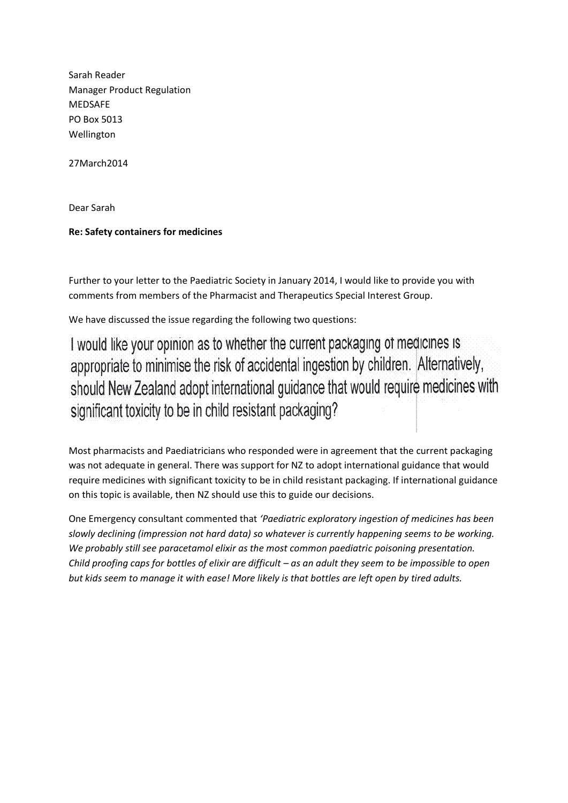Sarah Reader Manager Product Regulation MEDSAFE PO Box 5013 Wellington

27March2014

Dear Sarah

## **Re: Safety containers for medicines**

Further to your letter to the Paediatric Society in January 2014, I would like to provide you with comments from members of the Pharmacist and Therapeutics Special Interest Group.

We have discussed the issue regarding the following two questions:

I would like your opinion as to whether the current packaging of medicines is appropriate to minimise the risk of accidental ingestion by children. Alternatively, should New Zealand adopt international guidance that would require medicines with significant toxicity to be in child resistant packaging?

Most pharmacists and Paediatricians who responded were in agreement that the current packaging was not adequate in general. There was support for NZ to adopt international guidance that would require medicines with significant toxicity to be in child resistant packaging. If international guidance on this topic is available, then NZ should use this to guide our decisions.

One Emergency consultant commented that *'Paediatric exploratory ingestion of medicines has been slowly declining (impression not hard data) so whatever is currently happening seems to be working. We probably still see paracetamol elixir as the most common paediatric poisoning presentation. Child proofing caps for bottles of elixir are difficult – as an adult they seem to be impossible to open but kids seem to manage it with ease! More likely is that bottles are left open by tired adults.*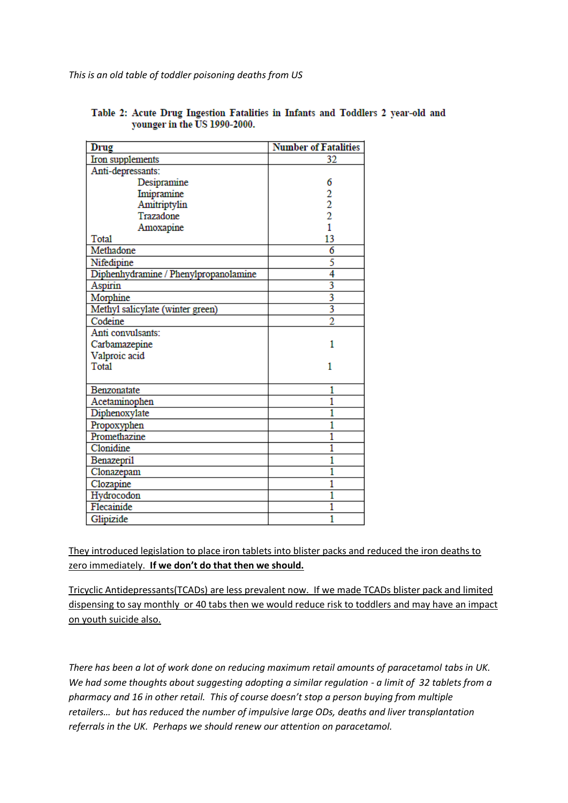*This is an old table of toddler poisoning deaths from US*

| Drug                                  | <b>Number of Fatalities</b> |
|---------------------------------------|-----------------------------|
| Iron supplements                      | 32                          |
| Anti-depressants:                     |                             |
| Desipramine                           | 6                           |
| Imipramine                            |                             |
| Amitriptylin                          | $\frac{2}{2}$               |
| Trazadone                             |                             |
| Amoxapine                             | 1                           |
| Total                                 | 13                          |
| Methadone                             | 6                           |
| Nifedipine                            | 5                           |
| Diphenhydramine / Phenylpropanolamine | 4                           |
| Aspirin                               | 3                           |
| Morphine                              | 3                           |
| Methyl salicylate (winter green)      | 3                           |
| Codeine                               | $\overline{2}$              |
| Anti convulsants:                     |                             |
| Carbamazepine                         | 1                           |
| Valproic acid                         |                             |
| <b>Total</b>                          | 1                           |
|                                       |                             |
| Benzonatate                           | 1                           |
| Acetaminophen                         | 1                           |
| Diphenoxylate                         | ī                           |
| Propoxyphen                           | 1                           |
| Promethazine                          | ī                           |
| Clonidine                             | 1                           |
| Benazepril                            | 1                           |
| Clonazepam                            | ī                           |
| Clozapine                             | 1                           |
| Hydrocodon                            | 1                           |
| Flecainide                            | 1                           |
| Glipizide                             | 1                           |

Table 2: Acute Drug Ingestion Fatalities in Infants and Toddlers 2 year-old and younger in the US 1990-2000.

They introduced legislation to place iron tablets into blister packs and reduced the iron deaths to zero immediately. **If we don't do that then we should.**

Tricyclic Antidepressants(TCADs) are less prevalent now. If we made TCADs blister pack and limited dispensing to say monthly or 40 tabs then we would reduce risk to toddlers and may have an impact on youth suicide also.

*There has been a lot of work done on reducing maximum retail amounts of paracetamol tabs in UK. We had some thoughts about suggesting adopting a similar regulation - a limit of 32 tablets from a pharmacy and 16 in other retail. This of course doesn't stop a person buying from multiple retailers… but has reduced the number of impulsive large ODs, deaths and liver transplantation referrals in the UK. Perhaps we should renew our attention on paracetamol.*